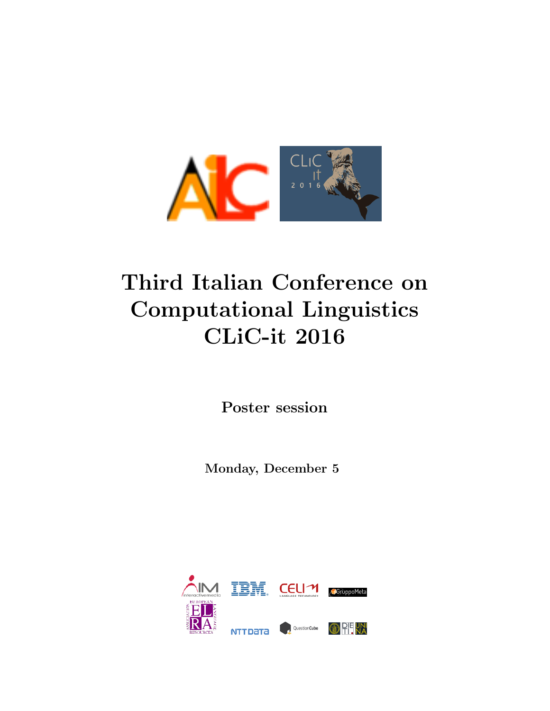

# Third Italian Conference on Computational Linguistics CLiC-it 2016

Poster session

Monday, December 5

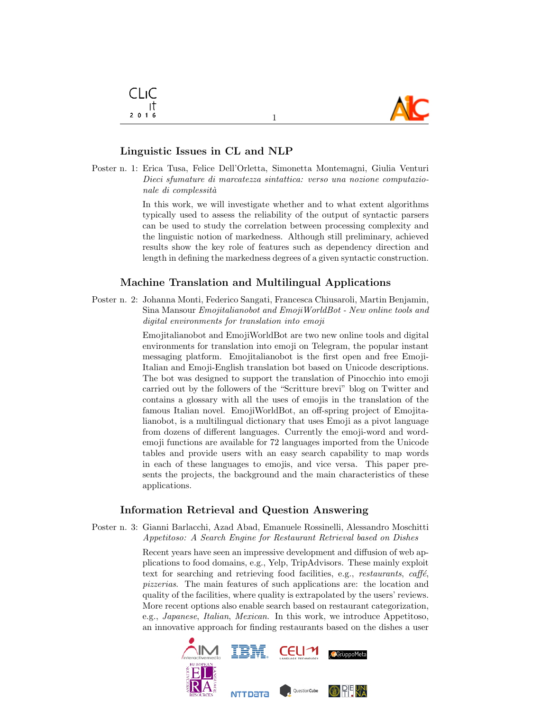

## Linguistic Issues in CL and NLP

Poster n. 1: Erica Tusa, Felice Dell'Orletta, Simonetta Montemagni, Giulia Venturi Dieci sfumature di marcatezza sintattica: verso una nozione computazionale di complessità

> In this work, we will investigate whether and to what extent algorithms typically used to assess the reliability of the output of syntactic parsers can be used to study the correlation between processing complexity and the linguistic notion of markedness. Although still preliminary, achieved results show the key role of features such as dependency direction and length in defining the markedness degrees of a given syntactic construction.

#### Machine Translation and Multilingual Applications

Poster n. 2: Johanna Monti, Federico Sangati, Francesca Chiusaroli, Martin Benjamin, Sina Mansour Emojitalianobot and EmojiWorldBot - New online tools and digital environments for translation into emoji

> Emojitalianobot and EmojiWorldBot are two new online tools and digital environments for translation into emoji on Telegram, the popular instant messaging platform. Emojitalianobot is the first open and free Emoji-Italian and Emoji-English translation bot based on Unicode descriptions. The bot was designed to support the translation of Pinocchio into emoji carried out by the followers of the "Scritture brevi" blog on Twitter and contains a glossary with all the uses of emojis in the translation of the famous Italian novel. EmojiWorldBot, an off-spring project of Emojitalianobot, is a multilingual dictionary that uses Emoji as a pivot language from dozens of different languages. Currently the emoji-word and wordemoji functions are available for 72 languages imported from the Unicode tables and provide users with an easy search capability to map words in each of these languages to emojis, and vice versa. This paper presents the projects, the background and the main characteristics of these applications.

### Information Retrieval and Question Answering

Poster n. 3: Gianni Barlacchi, Azad Abad, Emanuele Rossinelli, Alessandro Moschitti Appetitoso: A Search Engine for Restaurant Retrieval based on Dishes

> Recent years have seen an impressive development and diffusion of web applications to food domains, e.g., Yelp, TripAdvisors. These mainly exploit text for searching and retrieving food facilities, e.g.,  $restaurants$ ,  $caff\acute{e}$ , pizzerias. The main features of such applications are: the location and quality of the facilities, where quality is extrapolated by the users' reviews. More recent options also enable search based on restaurant categorization, e.g., Japanese, Italian, Mexican. In this work, we introduce Appetitoso, an innovative approach for finding restaurants based on the dishes a user

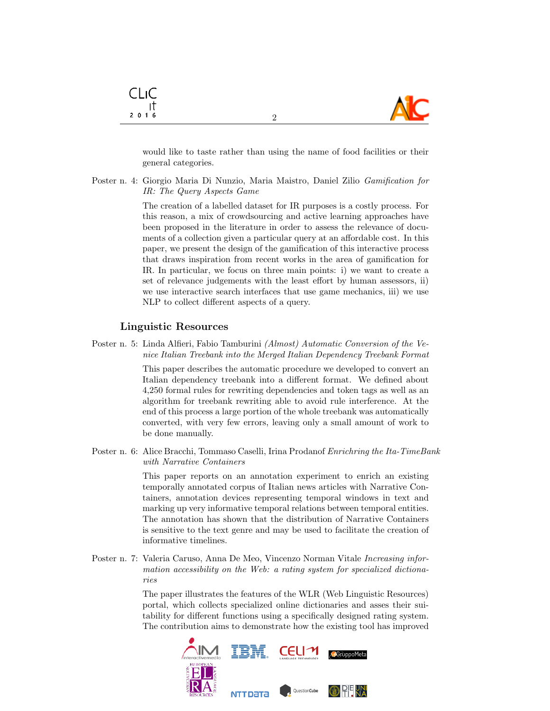

would like to taste rather than using the name of food facilities or their general categories.

Poster n. 4: Giorgio Maria Di Nunzio, Maria Maistro, Daniel Zilio Gamification for IR: The Query Aspects Game

> The creation of a labelled dataset for IR purposes is a costly process. For this reason, a mix of crowdsourcing and active learning approaches have been proposed in the literature in order to assess the relevance of documents of a collection given a particular query at an affordable cost. In this paper, we present the design of the gamification of this interactive process that draws inspiration from recent works in the area of gamification for IR. In particular, we focus on three main points: i) we want to create a set of relevance judgements with the least effort by human assessors, ii) we use interactive search interfaces that use game mechanics, iii) we use NLP to collect different aspects of a query.

#### Linguistic Resources

CLIC ा  $2016$ 

Poster n. 5: Linda Alfieri, Fabio Tamburini (Almost) Automatic Conversion of the Venice Italian Treebank into the Merged Italian Dependency Treebank Format

> This paper describes the automatic procedure we developed to convert an Italian dependency treebank into a different format. We defined about 4,250 formal rules for rewriting dependencies and token tags as well as an algorithm for treebank rewriting able to avoid rule interference. At the end of this process a large portion of the whole treebank was automatically converted, with very few errors, leaving only a small amount of work to be done manually.

Poster n. 6: Alice Bracchi, Tommaso Caselli, Irina Prodanof Enrichring the Ita-TimeBank with Narrative Containers

> This paper reports on an annotation experiment to enrich an existing temporally annotated corpus of Italian news articles with Narrative Containers, annotation devices representing temporal windows in text and marking up very informative temporal relations between temporal entities. The annotation has shown that the distribution of Narrative Containers is sensitive to the text genre and may be used to facilitate the creation of informative timelines.

Poster n. 7: Valeria Caruso, Anna De Meo, Vincenzo Norman Vitale Increasing information accessibility on the Web: a rating system for specialized dictionaries

> The paper illustrates the features of the WLR (Web Linguistic Resources) portal, which collects specialized online dictionaries and asses their suitability for different functions using a specifically designed rating system. The contribution aims to demonstrate how the existing tool has improved



2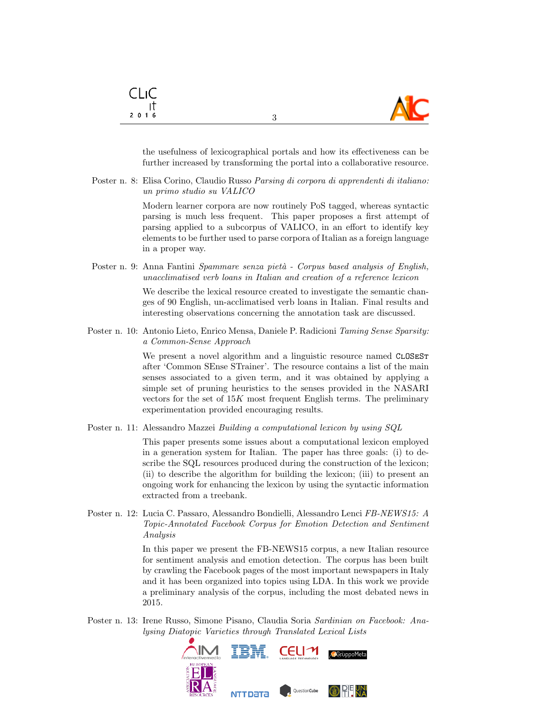

the usefulness of lexicographical portals and how its effectiveness can be further increased by transforming the portal into a collaborative resource.

3

Poster n. 8: Elisa Corino, Claudio Russo Parsing di corpora di apprendenti di italiano: un primo studio su VALICO

> Modern learner corpora are now routinely PoS tagged, whereas syntactic parsing is much less frequent. This paper proposes a first attempt of parsing applied to a subcorpus of VALICO, in an effort to identify key elements to be further used to parse corpora of Italian as a foreign language in a proper way.

Poster n. 9: Anna Fantini Spammare senza pietà - Corpus based analysis of English, unacclimatised verb loans in Italian and creation of a reference lexicon

> We describe the lexical resource created to investigate the semantic changes of 90 English, un-acclimatised verb loans in Italian. Final results and interesting observations concerning the annotation task are discussed.

Poster n. 10: Antonio Lieto, Enrico Mensa, Daniele P. Radicioni Taming Sense Sparsity: a Common-Sense Approach

> We present a novel algorithm and a linguistic resource named CLOSEST after 'Common SEnse STrainer'. The resource contains a list of the main senses associated to a given term, and it was obtained by applying a simple set of pruning heuristics to the senses provided in the NASARI vectors for the set of  $15K$  most frequent English terms. The preliminary experimentation provided encouraging results.

Poster n. 11: Alessandro Mazzei Building a computational lexicon by using SQL

This paper presents some issues about a computational lexicon employed in a generation system for Italian. The paper has three goals: (i) to describe the SQL resources produced during the construction of the lexicon; (ii) to describe the algorithm for building the lexicon; (iii) to present an ongoing work for enhancing the lexicon by using the syntactic information extracted from a treebank.

Poster n. 12: Lucia C. Passaro, Alessandro Bondielli, Alessandro Lenci FB-NEWS15: A Topic-Annotated Facebook Corpus for Emotion Detection and Sentiment Analysis

> In this paper we present the FB-NEWS15 corpus, a new Italian resource for sentiment analysis and emotion detection. The corpus has been built by crawling the Facebook pages of the most important newspapers in Italy and it has been organized into topics using LDA. In this work we provide a preliminary analysis of the corpus, including the most debated news in 2015.

Poster n. 13: Irene Russo, Simone Pisano, Claudia Soria Sardinian on Facebook: Analysing Diatopic Varieties through Translated Lexical Lists



CLIC -ıt  $2016$